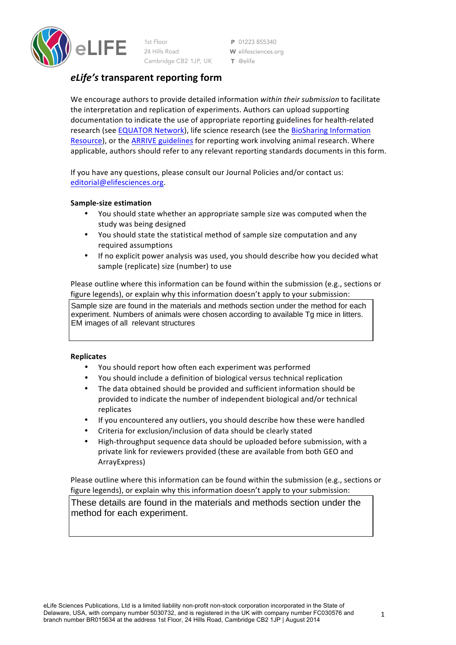

1st Floor 24 Hills Road Cambridge CB2 1JP, UK

P 01223 855340 W elifesciences.org  $T$  @elife

# *eLife's* **transparent reporting form**

We encourage authors to provide detailed information within their submission to facilitate the interpretation and replication of experiments. Authors can upload supporting documentation to indicate the use of appropriate reporting guidelines for health-related research (see EQUATOR Network), life science research (see the BioSharing Information Resource), or the ARRIVE guidelines for reporting work involving animal research. Where applicable, authors should refer to any relevant reporting standards documents in this form.

If you have any questions, please consult our Journal Policies and/or contact us: editorial@elifesciences.org.

# **Sample-size estimation**

- You should state whether an appropriate sample size was computed when the study was being designed
- You should state the statistical method of sample size computation and any required assumptions
- If no explicit power analysis was used, you should describe how you decided what sample (replicate) size (number) to use

Please outline where this information can be found within the submission (e.g., sections or figure legends), or explain why this information doesn't apply to your submission:

Sample size are found in the materials and methods section under the method for each experiment. Numbers of animals were chosen according to available Tg mice in litters. EM images of all relevant structures

## **Replicates**

- You should report how often each experiment was performed
- You should include a definition of biological versus technical replication
- The data obtained should be provided and sufficient information should be provided to indicate the number of independent biological and/or technical replicates
- If you encountered any outliers, you should describe how these were handled
- Criteria for exclusion/inclusion of data should be clearly stated
- High-throughput sequence data should be uploaded before submission, with a private link for reviewers provided (these are available from both GEO and ArrayExpress)

Please outline where this information can be found within the submission (e.g., sections or figure legends), or explain why this information doesn't apply to your submission:

These details are found in the materials and methods section under the method for each experiment.